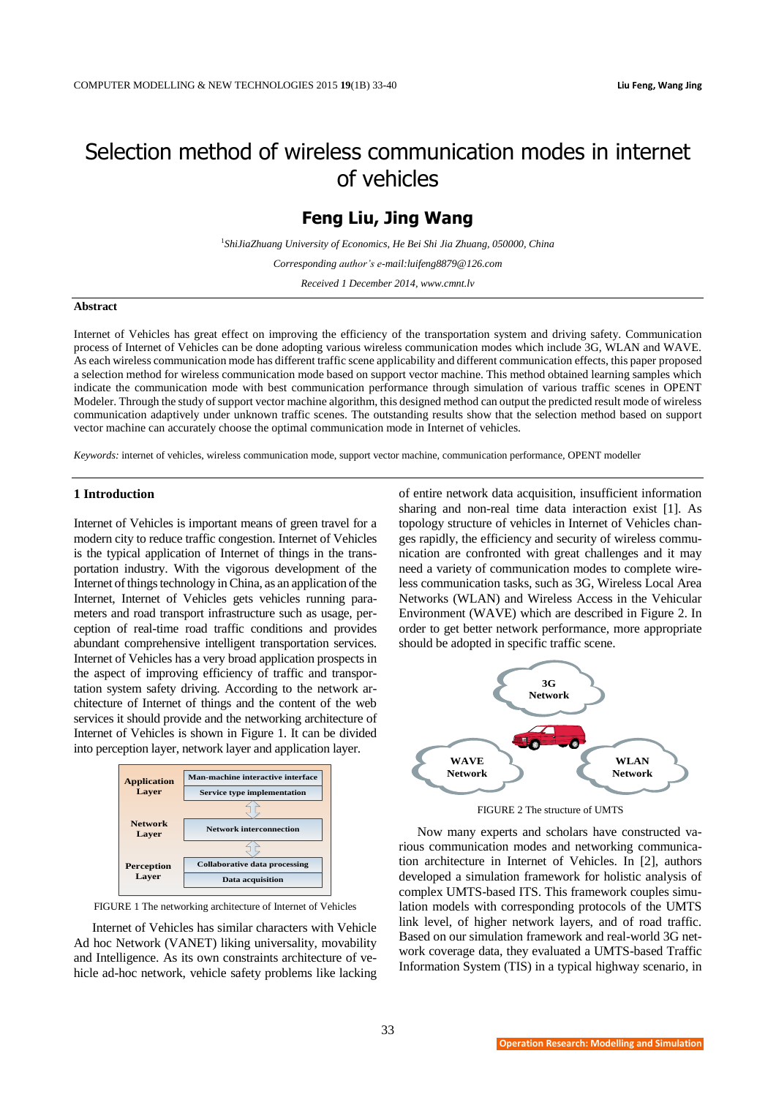# Selection method of wireless communication modes in internet of vehicles

# **Feng Liu, Jing Wang**

<sup>1</sup>*ShiJiaZhuang University of Economics, He Bei Shi Jia Zhuang, 050000, China*

*Corresponding author's e-mail:luifeng8879@126.com*

*Received 1 December 2014, www.cmnt.lv*

#### **Abstract**

Internet of Vehicles has great effect on improving the efficiency of the transportation system and driving safety. Communication process of Internet of Vehicles can be done adopting various wireless communication modes which include 3G, WLAN and WAVE. As each wireless communication mode has different traffic scene applicability and different communication effects, this paper proposed a selection method for wireless communication mode based on support vector machine. This method obtained learning samples which indicate the communication mode with best communication performance through simulation of various traffic scenes in OPENT Modeler. Through the study of support vector machine algorithm, this designed method can output the predicted result mode of wireless communication adaptively under unknown traffic scenes. The outstanding results show that the selection method based on support vector machine can accurately choose the optimal communication mode in Internet of vehicles.

*Keywords:* internet of vehicles, wireless communication mode, support vector machine, communication performance, OPENT modeller

#### **1 Introduction**

Internet of Vehicles is important means of green travel for a modern city to reduce traffic congestion. Internet of Vehicles is the typical application of Internet of things in the transportation industry. With the vigorous development of the Internet of things technology in China, as an application of the Internet, Internet of Vehicles gets vehicles running parameters and road transport infrastructure such as usage, perception of real-time road traffic conditions and provides abundant comprehensive intelligent transportation services. Internet of Vehicles has a very broad application prospects in the aspect of improving efficiency of traffic and transportation system safety driving. According to the network architecture of Internet of things and the content of the web services it should provide and the networking architecture of Internet of Vehicles is shown in Figure 1. It can be divided into perception layer, network layer and application layer.



FIGURE 1 The networking architecture of Internet of Vehicles

Internet of Vehicles has similar characters with Vehicle Ad hoc Network (VANET) liking universality, movability and Intelligence. As its own constraints architecture of vehicle ad-hoc network, vehicle safety problems like lacking of entire network data acquisition, insufficient information sharing and non-real time data interaction exist [1]. As topology structure of vehicles in Internet of Vehicles changes rapidly, the efficiency and security of wireless communication are confronted with great challenges and it may need a variety of communication modes to complete wireless communication tasks, such as 3G, Wireless Local Area Networks (WLAN) and Wireless Access in the Vehicular Environment (WAVE) which are described in Figure 2. In order to get better network performance, more appropriate should be adopted in specific traffic scene.



FIGURE 2 The structure of UMTS

Now many experts and scholars have constructed various communication modes and networking communication architecture in Internet of Vehicles. In [2], authors developed a simulation framework for holistic analysis of complex UMTS-based ITS. This framework couples simulation models with corresponding protocols of the UMTS link level, of higher network layers, and of road traffic. Based on our simulation framework and real-world 3G network coverage data, they evaluated a UMTS-based Traffic Information System (TIS) in a typical highway scenario, in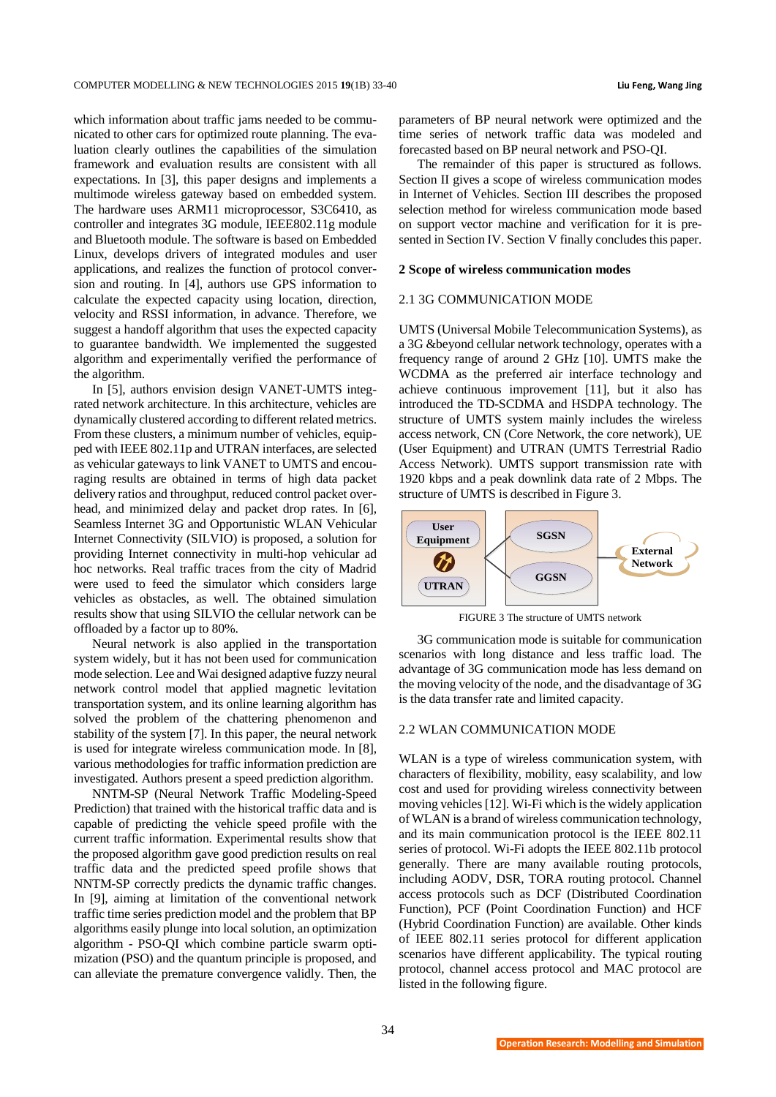which information about traffic jams needed to be communicated to other cars for optimized route planning. The evaluation clearly outlines the capabilities of the simulation framework and evaluation results are consistent with all expectations. In [3], this paper designs and implements a multimode wireless gateway based on embedded system. The hardware uses ARM11 microprocessor, S3C6410, as controller and integrates 3G module, IEEE802.11g module and Bluetooth module. The software is based on Embedded Linux, develops drivers of integrated modules and user applications, and realizes the function of protocol conversion and routing. In [4], authors use GPS information to calculate the expected capacity using location, direction, velocity and RSSI information, in advance. Therefore, we suggest a handoff algorithm that uses the expected capacity to guarantee bandwidth. We implemented the suggested algorithm and experimentally verified the performance of the algorithm.

In [5], authors envision design VANET-UMTS integrated network architecture. In this architecture, vehicles are dynamically clustered according to different related metrics. From these clusters, a minimum number of vehicles, equipped with IEEE 802.11p and UTRAN interfaces, are selected as vehicular gateways to link VANET to UMTS and encouraging results are obtained in terms of high data packet delivery ratios and throughput, reduced control packet overhead, and minimized delay and packet drop rates. In [6], Seamless Internet 3G and Opportunistic WLAN Vehicular Internet Connectivity (SILVIO) is proposed, a solution for providing Internet connectivity in multi-hop vehicular ad hoc networks. Real traffic traces from the city of Madrid were used to feed the simulator which considers large vehicles as obstacles, as well. The obtained simulation results show that using SILVIO the cellular network can be offloaded by a factor up to 80%.

Neural network is also applied in the transportation system widely, but it has not been used for communication mode selection. Lee and Wai designed adaptive fuzzy neural network control model that applied magnetic levitation transportation system, and its online learning algorithm has solved the problem of the chattering phenomenon and stability of the system [7]. In this paper, the neural network is used for integrate wireless communication mode. In [8], various methodologies for traffic information prediction are investigated. Authors present a speed prediction algorithm.

NNTM-SP (Neural Network Traffic Modeling-Speed Prediction) that trained with the historical traffic data and is capable of predicting the vehicle speed profile with the current traffic information. Experimental results show that the proposed algorithm gave good prediction results on real traffic data and the predicted speed profile shows that NNTM-SP correctly predicts the dynamic traffic changes. In [9], aiming at limitation of the conventional network traffic time series prediction model and the problem that BP algorithms easily plunge into local solution, an optimization algorithm - PSO-QI which combine particle swarm optimization (PSO) and the quantum principle is proposed, and can alleviate the premature convergence validly. Then, the

parameters of BP neural network were optimized and the time series of network traffic data was modeled and forecasted based on BP neural network and PSO-QI.

The remainder of this paper is structured as follows. Section II gives a scope of wireless communication modes in Internet of Vehicles. Section III describes the proposed selection method for wireless communication mode based on support vector machine and verification for it is presented in Section IV. Section V finally concludes this paper.

#### **2 Scope of wireless communication modes**

#### 2.1 3G COMMUNICATION MODE

UMTS (Universal Mobile Telecommunication Systems), as a 3G &beyond cellular network technology, operates with a frequency range of around 2 GHz [10]. UMTS make the WCDMA as the preferred air interface technology and achieve continuous improvement [11], but it also has introduced the TD-SCDMA and HSDPA technology. The structure of UMTS system mainly includes the wireless access network, CN (Core Network, the core network), UE (User Equipment) and UTRAN (UMTS Terrestrial Radio Access Network). UMTS support transmission rate with 1920 kbps and a peak downlink data rate of 2 Mbps. The structure of UMTS is described in Figure 3.



FIGURE 3 The structure of UMTS network

3G communication mode is suitable for communication scenarios with long distance and less traffic load. The advantage of 3G communication mode has less demand on the moving velocity of the node, and the disadvantage of 3G is the data transfer rate and limited capacity.

## 2.2 WLAN COMMUNICATION MODE

WLAN is a type of wireless communication system, with characters of flexibility, mobility, easy scalability, and low cost and used for providing wireless connectivity between moving vehicles[12]. Wi-Fi which is the widely application of WLAN is a brand of wireless communication technology, and its main communication protocol is the IEEE 802.11 series of protocol. Wi-Fi adopts the IEEE 802.11b protocol generally. There are many available routing protocols, including AODV, DSR, TORA routing protocol. Channel access protocols such as DCF (Distributed Coordination Function), PCF (Point Coordination Function) and HCF (Hybrid Coordination Function) are available. Other kinds of IEEE 802.11 series protocol for different application scenarios have different applicability. The typical routing protocol, channel access protocol and MAC protocol are listed in the following figure.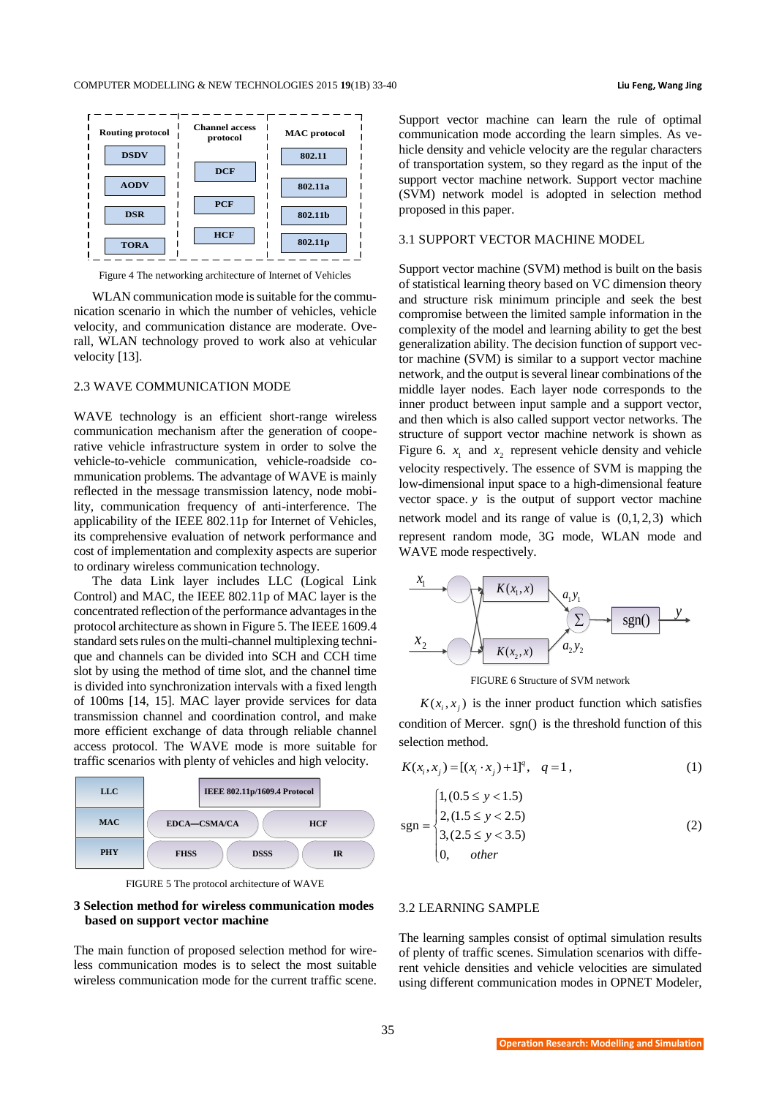

Figure 4 The networking architecture of Internet of Vehicles

WLAN communication mode is suitable for the communication scenario in which the number of vehicles, vehicle velocity, and communication distance are moderate. Overall, WLAN technology proved to work also at vehicular velocity [13].

#### 2.3 WAVE COMMUNICATION MODE

WAVE technology is an efficient short-range wireless communication mechanism after the generation of cooperative vehicle infrastructure system in order to solve the vehicle-to-vehicle communication, vehicle-roadside communication problems. The advantage of WAVE is mainly reflected in the message transmission latency, node mobility, communication frequency of anti-interference. The applicability of the IEEE 802.11p for Internet of Vehicles, its comprehensive evaluation of network performance and cost of implementation and complexity aspects are superior to ordinary wireless communication technology.

The data Link layer includes LLC (Logical Link Control) and MAC, the IEEE 802.11p of MAC layer is the concentrated reflection of the performance advantages in the protocol architecture as shown in Figure 5. The IEEE 1609.4 standard sets rules on the multi-channel multiplexing technique and channels can be divided into SCH and CCH time slot by using the method of time slot, and the channel time is divided into synchronization intervals with a fixed length of 100ms [14, 15]. MAC layer provide services for data transmission channel and coordination control, and make more efficient exchange of data through reliable channel access protocol. The WAVE mode is more suitable for traffic scenarios with plenty of vehicles and high velocity.



FIGURE 5 The protocol architecture of WAVE

# **3 Selection method for wireless communication modes based on support vector machine**

The main function of proposed selection method for wireless communication modes is to select the most suitable wireless communication mode for the current traffic scene.

Support vector machine can learn the rule of optimal communication mode according the learn simples. As vehicle density and vehicle velocity are the regular characters of transportation system, so they regard as the input of the support vector machine network. Support vector machine (SVM) network model is adopted in selection method proposed in this paper.

#### 3.1 SUPPORT VECTOR MACHINE MODEL

Support vector machine (SVM) method is built on the basis of statistical learning theory based on VC dimension theory and structure risk minimum principle and seek the best compromise between the limited sample information in the complexity of the model and learning ability to get the best generalization ability. The decision function of support vector machine (SVM) is similar to a support vector machine network, and the output is several linear combinations of the middle layer nodes. Each layer node corresponds to the inner product between input sample and a support vector, and then which is also called support vector networks. The structure of support vector machine network is shown as Figure 6.  $x_1$  and  $x_2$  represent vehicle density and vehicle velocity respectively. The essence of SVM is mapping the low-dimensional input space to a high-dimensional feature vector space. *y* is the output of support vector machine network model and its range of value is (0,1,2,3) which WAVE mode respectively.



FIGURE 6 Structure of SVM network

 $K(x_i, x_j)$  is the inner product function which satisfies condition of Mercer. sgn() is the threshold function of this selection method.

$$
K(x_i, x_j) = [(x_i \cdot x_j) + 1]^q, \quad q = 1,
$$
 (1)

$$
sgn = \begin{cases} 1, (0.5 \le y < 1.5) \\ 2, (1.5 \le y < 2.5) \\ 3, (2.5 \le y < 3.5) \\ 0, \quad other \end{cases}
$$
 (2)

# 3.2 LEARNING SAMPLE

The learning samples consist of optimal simulation results of plenty of traffic scenes. Simulation scenarios with different vehicle densities and vehicle velocities are simulated using different communication modes in OPNET Modeler,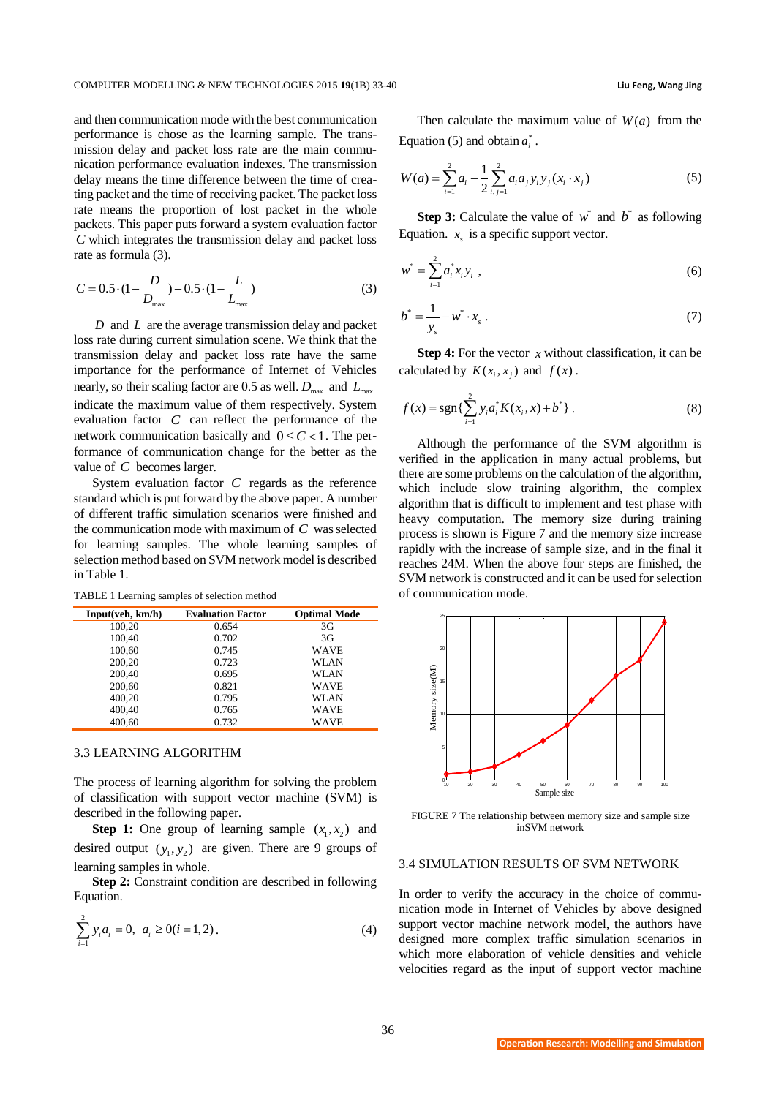and then communication mode with the best communication performance is chose as the learning sample. The transmission delay and packet loss rate are the main communication performance evaluation indexes. The transmission delay means the time difference between the time of creating packet and the time of receiving packet. The packet loss rate means the proportion of lost packet in the whole packets. This paper puts forward a system evaluation factor *C* which integrates the transmission delay and packet loss rate as formula (3).

$$
C = 0.5 \cdot (1 - \frac{D}{D_{\text{max}}}) + 0.5 \cdot (1 - \frac{L}{L_{\text{max}}})
$$
 (3)

*D* and *L* are the average transmission delay and packet loss rate during current simulation scene. We think that the transmission delay and packet loss rate have the same importance for the performance of Internet of Vehicles nearly, so their scaling factor are 0.5 as well.  $D_{\text{max}}$  and  $L_{\text{max}}$ indicate the maximum value of them respectively. System evaluation factor *C* can reflect the performance of the network communication basically and  $0 \leq C < 1$ . The performance of communication change for the better as the value of *C* becomes larger.

System evaluation factor *C* regards as the reference standard which is put forward by the above paper. A number of different traffic simulation scenarios were finished and the communication mode with maximum of *C* was selected for learning samples. The whole learning samples of selection method based on SVM network model is described in Table 1.

TABLE 1 Learning samples of selection method

| Input(veh, km/h) | <b>Evaluation Factor</b> | <b>Optimal Mode</b> |
|------------------|--------------------------|---------------------|
| 100,20           | 0.654                    | 3G                  |
| 100.40           | 0.702                    | 3G                  |
| 100,60           | 0.745                    | <b>WAVE</b>         |
| 200,20           | 0.723                    | WLAN                |
| 200,40           | 0.695                    | WLAN                |
| 200,60           | 0.821                    | <b>WAVE</b>         |
| 400,20           | 0.795                    | WLAN                |
| 400.40           | 0.765                    | WAVE                |
| 400.60           | 0.732                    | WAVE                |

#### 3.3 LEARNING ALGORITHM

The process of learning algorithm for solving the problem of classification with support vector machine (SVM) is described in the following paper.

**Step 1:** One group of learning sample  $(x_1, x_2)$  and desired output  $(y_1, y_2)$  are given. There are 9 groups of learning samples in whole.

**Step 2:** Constraint condition are described in following Equation.

$$
\sum_{i=1}^{2} y_i a_i = 0, \ a_i \ge 0 (i = 1, 2).
$$
 (4)

Then calculate the maximum value of  $W(a)$  from the Equation (5) and obtain  $a_i^*$ .

$$
W(a) = \sum_{i=1}^{2} a_i - \frac{1}{2} \sum_{i,j=1}^{2} a_i a_j y_i y_j (x_i \cdot x_j)
$$
 (5)

**Step 3:** Calculate the value of  $w^*$  and  $b^*$  as following Equation.  $x<sub>s</sub>$  is a specific support vector.

$$
w^* = \sum_{i=1}^2 a_i^* x_i y_i \tag{6}
$$

$$
b^* = \frac{1}{y_s} - w^* \cdot x_s \ . \tag{7}
$$

**Step 4:** For the vector  $x$  without classification, it can be calculated by  $K(x_i, x_j)$  and  $f(x)$ .

$$
f(x) = \operatorname{sgn}\left\{\sum_{i=1}^{2} y_i a_i^* K(x_i, x) + b^*\right\}.
$$
 (8)

Although the performance of the SVM algorithm is verified in the application in many actual problems, but there are some problems on the calculation of the algorithm, which include slow training algorithm, the complex algorithm that is difficult to implement and test phase with heavy computation. The memory size during training process is shown is Figure 7 and the memory size increase rapidly with the increase of sample size, and in the final it reaches 24M. When the above four steps are finished, the SVM network is constructed and it can be used for selection of communication mode.



FIGURE 7 The relationship between memory size and sample size inSVM network

#### 3.4 SIMULATION RESULTS OF SVM NETWORK

In order to verify the accuracy in the choice of communication mode in Internet of Vehicles by above designed support vector machine network model, the authors have designed more complex traffic simulation scenarios in which more elaboration of vehicle densities and vehicle velocities regard as the input of support vector machine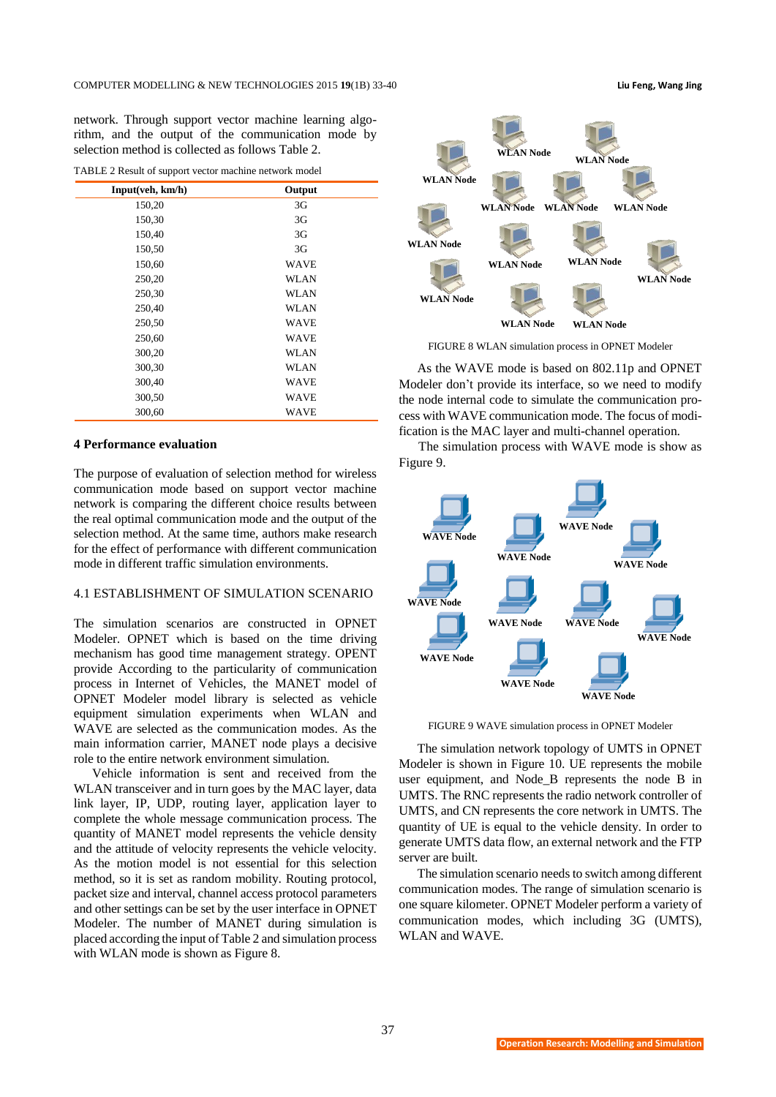network. Through support vector machine learning algorithm, and the output of the communication mode by selection method is collected as follows Table 2.

TABLE 2 Result of support vector machine network model

| Input(veh, km/h) | Output         |
|------------------|----------------|
| 150,20           | 3G             |
| 150,30           | 3 <sub>G</sub> |
| 150,40           | 3 <sub>G</sub> |
| 150,50           | 3 <sub>G</sub> |
| 150,60           | <b>WAVE</b>    |
| 250,20           | WLAN           |
| 250,30           | WLAN           |
| 250,40           | WLAN           |
| 250,50           | <b>WAVE</b>    |
| 250,60           | <b>WAVE</b>    |
| 300,20           | WLAN           |
| 300,30           | <b>WLAN</b>    |
| 300,40           | WAVE           |
| 300,50           | WAVE           |
| 300,60           | WAVE           |

# **4 Performance evaluation**

The purpose of evaluation of selection method for wireless communication mode based on support vector machine network is comparing the different choice results between the real optimal communication mode and the output of the selection method. At the same time, authors make research for the effect of performance with different communication mode in different traffic simulation environments.

# 4.1 ESTABLISHMENT OF SIMULATION SCENARIO

The simulation scenarios are constructed in OPNET Modeler. OPNET which is based on the time driving mechanism has good time management strategy. OPENT provide According to the particularity of communication process in Internet of Vehicles, the MANET model of OPNET Modeler model library is selected as vehicle equipment simulation experiments when WLAN and WAVE are selected as the communication modes. As the main information carrier, MANET node plays a decisive role to the entire network environment simulation.

Vehicle information is sent and received from the WLAN transceiver and in turn goes by the MAC layer, data link layer, IP, UDP, routing layer, application layer to complete the whole message communication process. The quantity of MANET model represents the vehicle density and the attitude of velocity represents the vehicle velocity. As the motion model is not essential for this selection method, so it is set as random mobility. Routing protocol, packet size and interval, channel access protocol parameters and other settings can be set by the user interface in OPNET Modeler. The number of MANET during simulation is placed according the input of Table 2 and simulation process with WLAN mode is shown as Figure 8.

**WLAN Node WLAN Node WLAN Node WLAN Node WLAN Node WLAN Node WLAN Node WLAN Node WLAN Node WLAN Node WLAN Node**

FIGURE 8 WLAN simulation process in OPNET Modeler

**WLAN Node**

**WLAN Node**

As the WAVE mode is based on 802.11p and OPNET Modeler don't provide its interface, so we need to modify the node internal code to simulate the communication process with WAVE communication mode. The focus of modification is the MAC layer and multi-channel operation.

The simulation process with WAVE mode is show as Figure 9.



FIGURE 9 WAVE simulation process in OPNET Modeler

The simulation network topology of UMTS in OPNET Modeler is shown in Figure 10. UE represents the mobile user equipment, and Node B represents the node B in UMTS. The RNC represents the radio network controller of UMTS, and CN represents the core network in UMTS. The quantity of UE is equal to the vehicle density. In order to generate UMTS data flow, an external network and the FTP server are built.

The simulation scenario needs to switch among different communication modes. The range of simulation scenario is one square kilometer. OPNET Modeler perform a variety of communication modes, which including 3G (UMTS), WLAN and WAVE.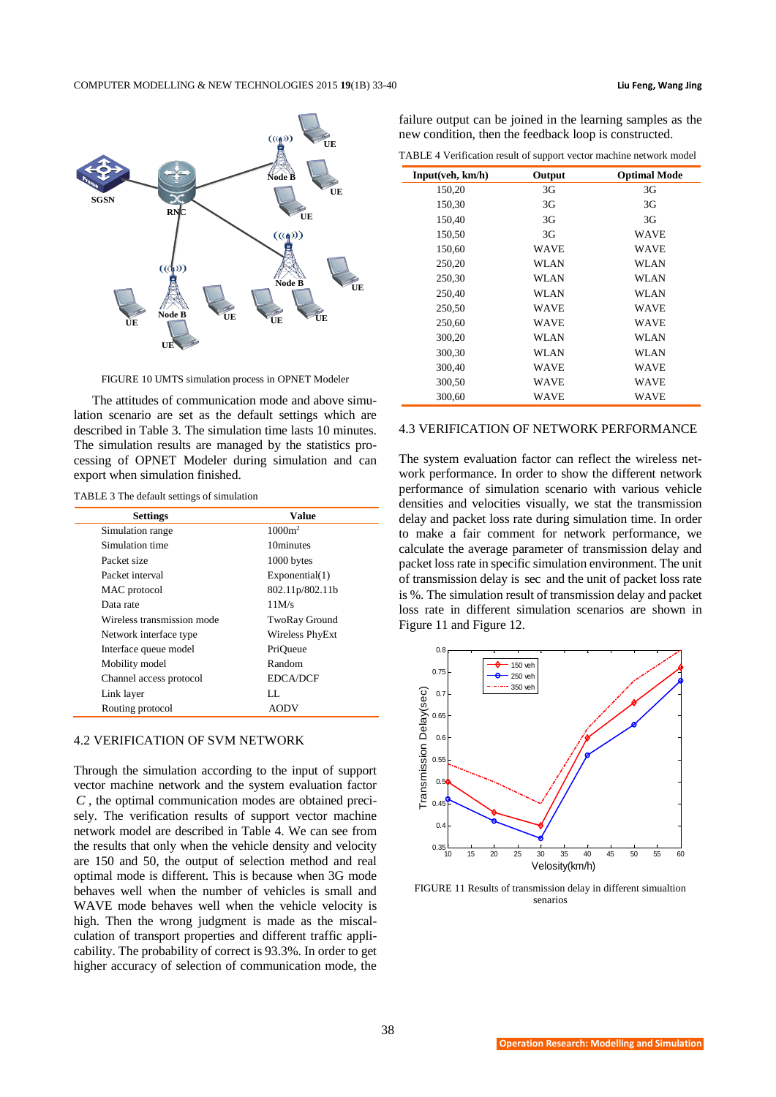

FIGURE 10 UMTS simulation process in OPNET Modeler

The attitudes of communication mode and above simulation scenario are set as the default settings which are described in Table 3. The simulation time lasts 10 minutes. The simulation results are managed by the statistics processing of OPNET Modeler during simulation and can export when simulation finished.

|  | TABLE 3 The default settings of simulation |  |  |
|--|--------------------------------------------|--|--|
|--|--------------------------------------------|--|--|

| <b>Settings</b>            | Value                |
|----------------------------|----------------------|
| Simulation range           | $1000m^2$            |
| Simulation time            | 10minutes            |
| Packet size                | 1000 bytes           |
| Packet interval            | Exponential(1)       |
| MAC protocol               | 802.11p/802.11b      |
| Data rate                  | 11M/s                |
| Wireless transmission mode | <b>TwoRay Ground</b> |
| Network interface type     | Wireless PhyExt      |
| Interface queue model      | PriOueue             |
| Mobility model             | Random               |
| Channel access protocol    | <b>EDCA/DCF</b>      |
| Link layer                 | LL.                  |
| Routing protocol           | AODV                 |

#### 4.2 VERIFICATION OF SVM NETWORK

Through the simulation according to the input of support vector machine network and the system evaluation factor *C* , the optimal communication modes are obtained precisely. The verification results of support vector machine network model are described in Table 4. We can see from the results that only when the vehicle density and velocity are 150 and 50, the output of selection method and real optimal mode is different. This is because when 3G mode behaves well when the number of vehicles is small and WAVE mode behaves well when the vehicle velocity is high. Then the wrong judgment is made as the miscalculation of transport properties and different traffic applicability. The probability of correct is 93.3%. In order to get higher accuracy of selection of communication mode, the failure output can be joined in the learning samples as the new condition, then the feedback loop is constructed.

TABLE 4 Verification result of support vector machine network model

| Input(veh, km/h) | Output | <b>Optimal Mode</b> |
|------------------|--------|---------------------|
| 150,20           | 3G     | 3G                  |
| 150,30           | 3G     | 3G                  |
| 150,40           | 3G     | 3 <sub>G</sub>      |
| 150,50           | 3G     | <b>WAVE</b>         |
| 150,60           | WAVE   | <b>WAVE</b>         |
| 250,20           | WLAN   | WLAN                |
| 250,30           | WLAN   | WLAN                |
| 250,40           | WLAN   | WLAN                |
| 250,50           | WAVE   | <b>WAVE</b>         |
| 250,60           | WAVE   | <b>WAVE</b>         |
| 300,20           | WLAN   | WLAN                |
| 300,30           | WLAN   | WLAN                |
| 300.40           | WAVE   | <b>WAVE</b>         |
| 300,50           | WAVE   | <b>WAVE</b>         |
| 300.60           | WAVE   | WAVE                |

#### 4.3 VERIFICATION OF NETWORK PERFORMANCE

The system evaluation factor can reflect the wireless network performance. In order to show the different network performance of simulation scenario with various vehicle densities and velocities visually, we stat the transmission delay and packet loss rate during simulation time. In order to make a fair comment for network performance, we calculate the average parameter of transmission delay and packet loss rate in specific simulation environment. The unit of transmission delay is sec and the unit of packet loss rate is %. The simulation result of transmission delay and packet loss rate in different simulation scenarios are shown in Figure 11 and Figure 12.



FIGURE 11 Results of transmission delay in different simualtion senarios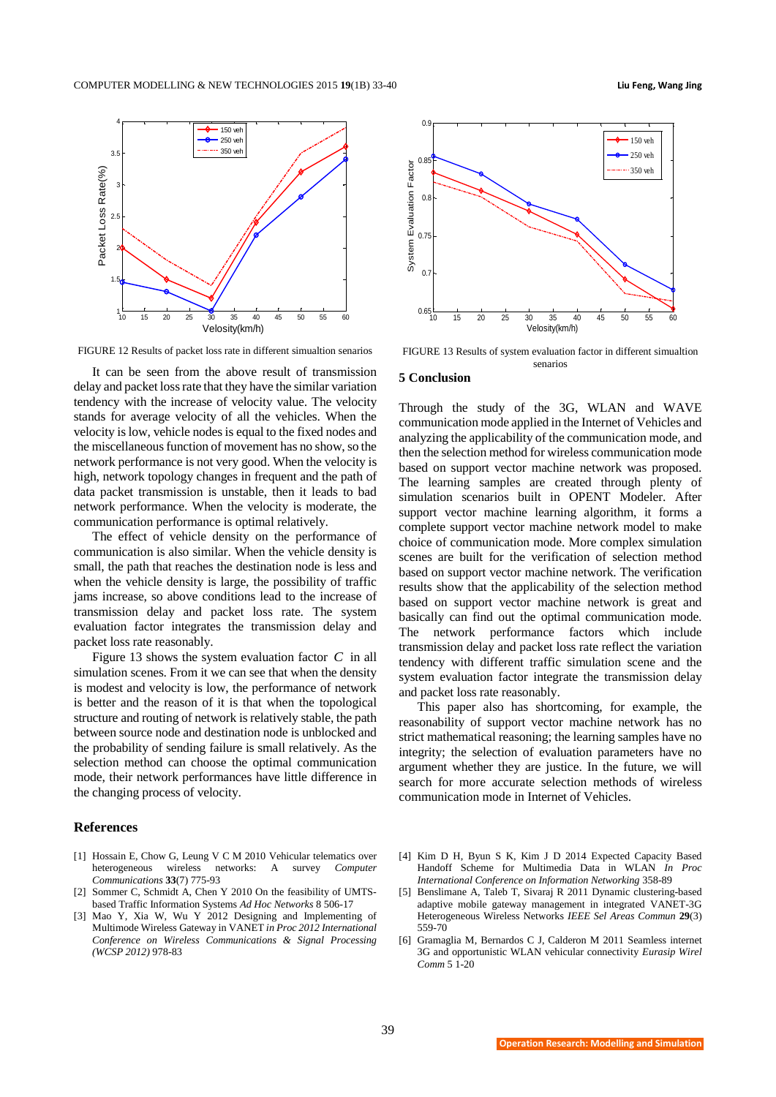

FIGURE 12 Results of packet loss rate in different simualtion senarios

It can be seen from the above result of transmission delay and packet loss rate that they have the similar variation tendency with the increase of velocity value. The velocity stands for average velocity of all the vehicles. When the velocity is low, vehicle nodes is equal to the fixed nodes and the miscellaneous function of movement has no show, so the network performance is not very good. When the velocity is high, network topology changes in frequent and the path of data packet transmission is unstable, then it leads to bad network performance. When the velocity is moderate, the communication performance is optimal relatively.

The effect of vehicle density on the performance of communication is also similar. When the vehicle density is small, the path that reaches the destination node is less and when the vehicle density is large, the possibility of traffic jams increase, so above conditions lead to the increase of transmission delay and packet loss rate. The system evaluation factor integrates the transmission delay and packet loss rate reasonably.

Figure 13 shows the system evaluation factor  $C$  in all simulation scenes. From it we can see that when the density is modest and velocity is low, the performance of network is better and the reason of it is that when the topological structure and routing of network is relatively stable, the path between source node and destination node is unblocked and the probability of sending failure is small relatively. As the selection method can choose the optimal communication mode, their network performances have little difference in the changing process of velocity.

#### **References**

- [1] Hossain E, Chow G, Leung V C M 2010 Vehicular telematics over heterogeneous wireless networks: A survey *Computer Communications* **33**(7) 775-93
- [2] Sommer C, Schmidt A, Chen Y 2010 On the feasibility of UMTSbased Traffic Information Systems *Ad Hoc Networks* 8 506-17
- [3] Mao Y, Xia W, Wu Y 2012 Designing and Implementing of Multimode Wireless Gateway in VANET *in Proc 2012 International Conference on Wireless Communications & Signal Processing (WCSP 2012)* 978-83



FIGURE 13 Results of system evaluation factor in different simualtion senarios

# **5 Conclusion**

Through the study of the 3G, WLAN and WAVE communication mode applied in the Internet of Vehicles and analyzing the applicability of the communication mode, and then the selection method for wireless communication mode based on support vector machine network was proposed. The learning samples are created through plenty of simulation scenarios built in OPENT Modeler. After support vector machine learning algorithm, it forms a complete support vector machine network model to make choice of communication mode. More complex simulation scenes are built for the verification of selection method based on support vector machine network. The verification results show that the applicability of the selection method based on support vector machine network is great and basically can find out the optimal communication mode. The network performance factors which include transmission delay and packet loss rate reflect the variation tendency with different traffic simulation scene and the system evaluation factor integrate the transmission delay and packet loss rate reasonably.

This paper also has shortcoming, for example, the reasonability of support vector machine network has no strict mathematical reasoning; the learning samples have no integrity; the selection of evaluation parameters have no argument whether they are justice. In the future, we will search for more accurate selection methods of wireless communication mode in Internet of Vehicles.

- [4] Kim D H, Byun S K, Kim J D 2014 Expected Capacity Based Handoff Scheme for Multimedia Data in WLAN *In Proc International Conference on Information Networking* 358-89
- [5] Benslimane A, Taleb T, Sivaraj R 2011 Dynamic clustering-based adaptive mobile gateway management in integrated VANET-3G Heterogeneous Wireless Networks *IEEE Sel Areas Commun* **29**(3) 559-70
- [6] Gramaglia M, Bernardos C J, Calderon M 2011 Seamless internet 3G and opportunistic WLAN vehicular connectivity *Eurasip Wirel Comm* 5 1-20